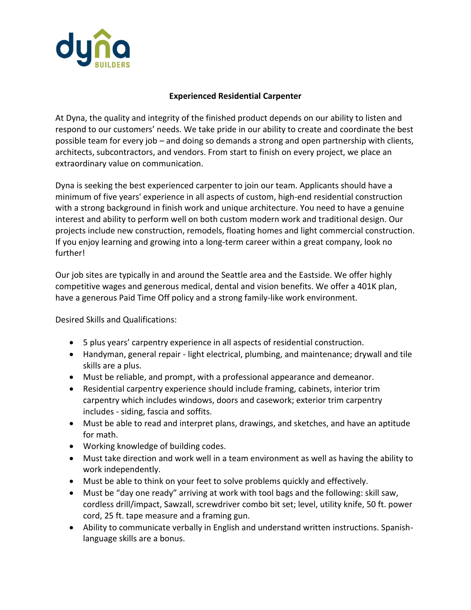

## **Experienced Residential Carpenter**

At Dyna, the quality and integrity of the finished product depends on our ability to listen and respond to our customers' needs. We take pride in our ability to create and coordinate the best possible team for every job – and doing so demands a strong and open partnership with clients, architects, subcontractors, and vendors. From start to finish on every project, we place an extraordinary value on communication.

Dyna is seeking the best experienced carpenter to join our team. Applicants should have a minimum of five years' experience in all aspects of custom, high-end residential construction with a strong background in finish work and unique architecture. You need to have a genuine interest and ability to perform well on both custom modern work and traditional design. Our projects include new construction, remodels, floating homes and light commercial construction. If you enjoy learning and growing into a long-term career within a great company, look no further!

Our job sites are typically in and around the Seattle area and the Eastside. We offer highly competitive wages and generous medical, dental and vision benefits. We offer a 401K plan, have a generous Paid Time Off policy and a strong family-like work environment.

Desired Skills and Qualifications:

- 5 plus years' carpentry experience in all aspects of residential construction.
- Handyman, general repair light electrical, plumbing, and maintenance; drywall and tile skills are a plus.
- Must be reliable, and prompt, with a professional appearance and demeanor.
- Residential carpentry experience should include framing, cabinets, interior trim carpentry which includes windows, doors and casework; exterior trim carpentry includes - siding, fascia and soffits.
- Must be able to read and interpret plans, drawings, and sketches, and have an aptitude for math.
- Working knowledge of building codes.
- Must take direction and work well in a team environment as well as having the ability to work independently.
- Must be able to think on your feet to solve problems quickly and effectively.
- Must be "day one ready" arriving at work with tool bags and the following: skill saw, cordless drill/impact, Sawzall, screwdriver combo bit set; level, utility knife, 50 ft. power cord, 25 ft. tape measure and a framing gun.
- Ability to communicate verbally in English and understand written instructions. Spanishlanguage skills are a bonus.